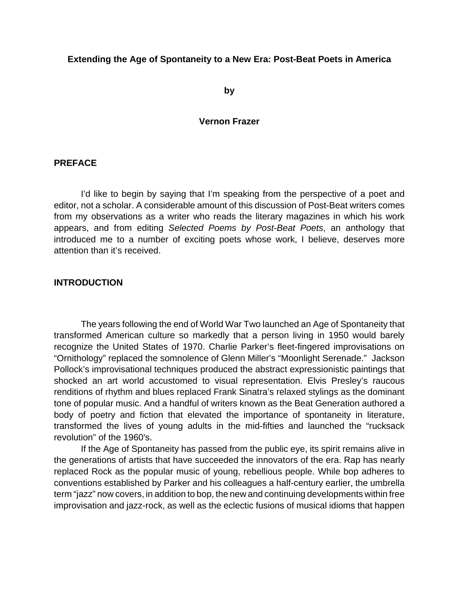#### **Extending the Age of Spontaneity to a New Era: Post-Beat Poets in America**

**by**

#### **Vernon Frazer**

#### **PREFACE**

I'd like to begin by saying that I'm speaking from the perspective of a poet and editor, not a scholar. A considerable amount of this discussion of Post-Beat writers comes from my observations as a writer who reads the literary magazines in which his work appears, and from editing *Selected Poems by Post-Beat Poets*, an anthology that introduced me to a number of exciting poets whose work, I believe, deserves more attention than it's received.

#### **INTRODUCTION**

The years following the end of World War Two launched an Age of Spontaneity that transformed American culture so markedly that a person living in 1950 would barely recognize the United States of 1970. Charlie Parker's fleet-fingered improvisations on "Ornithology" replaced the somnolence of Glenn Miller's "Moonlight Serenade." Jackson Pollock's improvisational techniques produced the abstract expressionistic paintings that shocked an art world accustomed to visual representation. Elvis Presley's raucous renditions of rhythm and blues replaced Frank Sinatra's relaxed stylings as the dominant tone of popular music. And a handful of writers known as the Beat Generation authored a body of poetry and fiction that elevated the importance of spontaneity in literature, transformed the lives of young adults in the mid-fifties and launched the "rucksack revolution" of the 1960's.

If the Age of Spontaneity has passed from the public eye, its spirit remains alive in the generations of artists that have succeeded the innovators of the era. Rap has nearly replaced Rock as the popular music of young, rebellious people. While bop adheres to conventions established by Parker and his colleagues a half-century earlier, the umbrella term "jazz" now covers, in addition to bop, the new and continuing developments within free improvisation and jazz-rock, as well as the eclectic fusions of musical idioms that happen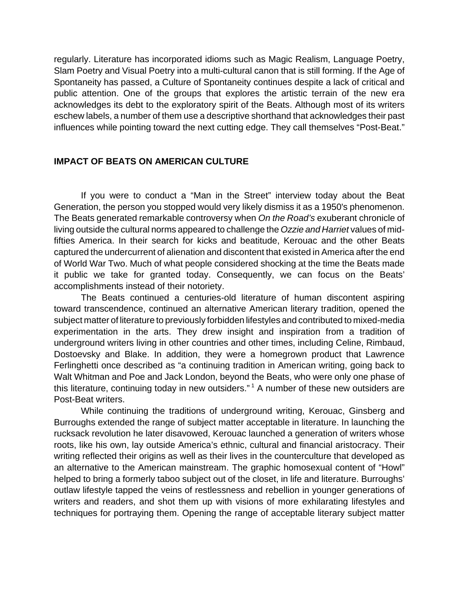regularly. Literature has incorporated idioms such as Magic Realism, Language Poetry, Slam Poetry and Visual Poetry into a multi-cultural canon that is still forming. If the Age of Spontaneity has passed, a Culture of Spontaneity continues despite a lack of critical and public attention. One of the groups that explores the artistic terrain of the new era acknowledges its debt to the exploratory spirit of the Beats. Although most of its writers eschew labels, a number of them use a descriptive shorthand that acknowledges their past influences while pointing toward the next cutting edge. They call themselves "Post-Beat."

#### **IMPACT OF BEATS ON AMERICAN CULTURE**

If you were to conduct a "Man in the Street" interview today about the Beat Generation, the person you stopped would very likely dismiss it as a 1950's phenomenon. The Beats generated remarkable controversy when *On the Road's* exuberant chronicle of living outside the cultural norms appeared to challenge the *Ozzie and Harriet* values of midfifties America. In their search for kicks and beatitude, Kerouac and the other Beats captured the undercurrent of alienation and discontent that existed in America after the end of World War Two. Much of what people considered shocking at the time the Beats made it public we take for granted today. Consequently, we can focus on the Beats' accomplishments instead of their notoriety.

The Beats continued a centuries-old literature of human discontent aspiring toward transcendence, continued an alternative American literary tradition, opened the subject matter of literature to previously forbidden lifestyles and contributed to mixed-media experimentation in the arts. They drew insight and inspiration from a tradition of underground writers living in other countries and other times, including Celine, Rimbaud, Dostoevsky and Blake. In addition, they were a homegrown product that Lawrence Ferlinghetti once described as "a continuing tradition in American writing, going back to Walt Whitman and Poe and Jack London, beyond the Beats, who were only one phase of this literature, continuing today in new outsiders."<sup>1</sup> A number of these new outsiders are Post-Beat writers.

While continuing the traditions of underground writing, Kerouac, Ginsberg and Burroughs extended the range of subject matter acceptable in literature. In launching the rucksack revolution he later disavowed, Kerouac launched a generation of writers whose roots, like his own, lay outside America's ethnic, cultural and financial aristocracy. Their writing reflected their origins as well as their lives in the counterculture that developed as an alternative to the American mainstream. The graphic homosexual content of "Howl" helped to bring a formerly taboo subject out of the closet, in life and literature. Burroughs' outlaw lifestyle tapped the veins of restlessness and rebellion in younger generations of writers and readers, and shot them up with visions of more exhilarating lifestyles and techniques for portraying them. Opening the range of acceptable literary subject matter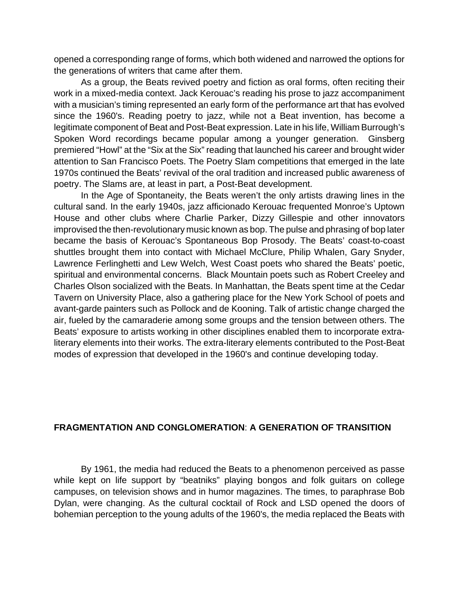opened a corresponding range of forms, which both widened and narrowed the options for the generations of writers that came after them.

As a group, the Beats revived poetry and fiction as oral forms, often reciting their work in a mixed-media context. Jack Kerouac's reading his prose to jazz accompaniment with a musician's timing represented an early form of the performance art that has evolved since the 1960's. Reading poetry to jazz, while not a Beat invention, has become a legitimate component of Beat and Post-Beat expression. Late in his life, William Burrough's Spoken Word recordings became popular among a younger generation. Ginsberg premiered "Howl" at the "Six at the Six" reading that launched his career and brought wider attention to San Francisco Poets. The Poetry Slam competitions that emerged in the late 1970s continued the Beats' revival of the oral tradition and increased public awareness of poetry. The Slams are, at least in part, a Post-Beat development.

In the Age of Spontaneity, the Beats weren't the only artists drawing lines in the cultural sand. In the early 1940s, jazz afficionado Kerouac frequented Monroe's Uptown House and other clubs where Charlie Parker, Dizzy Gillespie and other innovators improvised the then-revolutionary music known as bop. The pulse and phrasing of bop later became the basis of Kerouac's Spontaneous Bop Prosody. The Beats' coast-to-coast shuttles brought them into contact with Michael McClure, Philip Whalen, Gary Snyder, Lawrence Ferlinghetti and Lew Welch, West Coast poets who shared the Beats' poetic, spiritual and environmental concerns. Black Mountain poets such as Robert Creeley and Charles Olson socialized with the Beats. In Manhattan, the Beats spent time at the Cedar Tavern on University Place, also a gathering place for the New York School of poets and avant-garde painters such as Pollock and de Kooning. Talk of artistic change charged the air, fueled by the camaraderie among some groups and the tension between others. The Beats' exposure to artists working in other disciplines enabled them to incorporate extraliterary elements into their works. The extra-literary elements contributed to the Post-Beat modes of expression that developed in the 1960's and continue developing today.

#### **FRAGMENTATION AND CONGLOMERATION**: **A GENERATION OF TRANSITION**

By 1961, the media had reduced the Beats to a phenomenon perceived as passe while kept on life support by "beatniks" playing bongos and folk guitars on college campuses, on television shows and in humor magazines. The times, to paraphrase Bob Dylan, were changing. As the cultural cocktail of Rock and LSD opened the doors of bohemian perception to the young adults of the 1960's, the media replaced the Beats with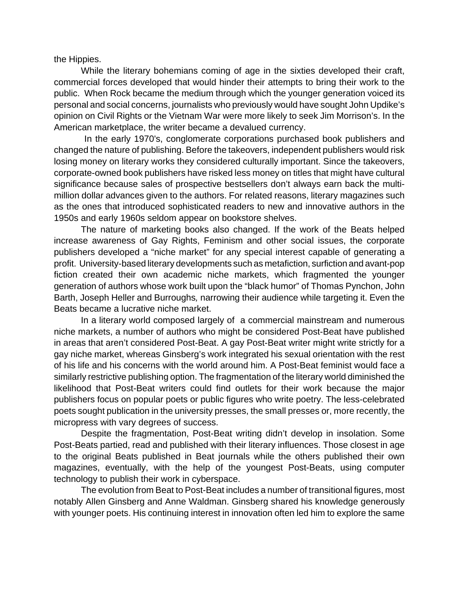the Hippies.

While the literary bohemians coming of age in the sixties developed their craft, commercial forces developed that would hinder their attempts to bring their work to the public. When Rock became the medium through which the younger generation voiced its personal and social concerns, journalists who previously would have sought John Updike's opinion on Civil Rights or the Vietnam War were more likely to seek Jim Morrison's. In the American marketplace, the writer became a devalued currency.

 In the early 1970's, conglomerate corporations purchased book publishers and changed the nature of publishing. Before the takeovers, independent publishers would risk losing money on literary works they considered culturally important. Since the takeovers, corporate-owned book publishers have risked less money on titles that might have cultural significance because sales of prospective bestsellers don't always earn back the multimillion dollar advances given to the authors. For related reasons, literary magazines such as the ones that introduced sophisticated readers to new and innovative authors in the 1950s and early 1960s seldom appear on bookstore shelves.

The nature of marketing books also changed. If the work of the Beats helped increase awareness of Gay Rights, Feminism and other social issues, the corporate publishers developed a "niche market" for any special interest capable of generating a profit. University-based literary developments such as metafiction, surfiction and avant-pop fiction created their own academic niche markets, which fragmented the younger generation of authors whose work built upon the "black humor" of Thomas Pynchon, John Barth, Joseph Heller and Burroughs*,* narrowing their audience while targeting it. Even the Beats became a lucrative niche market.

In a literary world composed largely of a commercial mainstream and numerous niche markets, a number of authors who might be considered Post-Beat have published in areas that aren't considered Post-Beat. A gay Post-Beat writer might write strictly for a gay niche market, whereas Ginsberg's work integrated his sexual orientation with the rest of his life and his concerns with the world around him. A Post-Beat feminist would face a similarly restrictive publishing option. The fragmentation of the literary world diminished the likelihood that Post-Beat writers could find outlets for their work because the major publishers focus on popular poets or public figures who write poetry. The less-celebrated poets sought publication in the university presses, the small presses or, more recently, the micropress with vary degrees of success.

Despite the fragmentation, Post-Beat writing didn't develop in insolation. Some Post-Beats partied, read and published with their literary influences. Those closest in age to the original Beats published in Beat journals while the others published their own magazines, eventually, with the help of the youngest Post-Beats, using computer technology to publish their work in cyberspace.

The evolution from Beat to Post-Beat includes a number of transitional figures, most notably Allen Ginsberg and Anne Waldman. Ginsberg shared his knowledge generously with younger poets. His continuing interest in innovation often led him to explore the same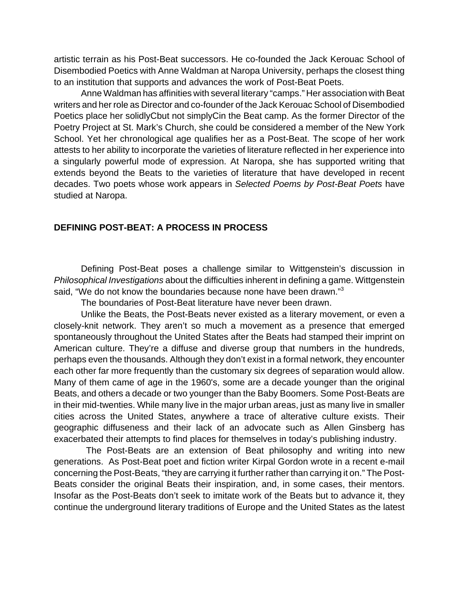artistic terrain as his Post-Beat successors. He co-founded the Jack Kerouac School of Disembodied Poetics with Anne Waldman at Naropa University, perhaps the closest thing to an institution that supports and advances the work of Post-Beat Poets.

Anne Waldman has affinities with several literary "camps." Her association with Beat writers and her role as Director and co-founder of the Jack Kerouac School of Disembodied Poetics place her solidlyCbut not simplyCin the Beat camp. As the former Director of the Poetry Project at St. Mark's Church, she could be considered a member of the New York School. Yet her chronological age qualifies her as a Post-Beat. The scope of her work attests to her ability to incorporate the varieties of literature reflected in her experience into a singularly powerful mode of expression. At Naropa, she has supported writing that extends beyond the Beats to the varieties of literature that have developed in recent decades. Two poets whose work appears in *Selected Poems by Post-Beat Poets* have studied at Naropa.

#### **DEFINING POST-BEAT: A PROCESS IN PROCESS**

Defining Post-Beat poses a challenge similar to Wittgenstein's discussion in *Philosophical Investigations* about the difficulties inherent in defining a game. Wittgenstein said, "We do not know the boundaries because none have been drawn."<sup>3</sup>

The boundaries of Post-Beat literature have never been drawn.

Unlike the Beats, the Post-Beats never existed as a literary movement, or even a closely-knit network. They aren't so much a movement as a presence that emerged spontaneously throughout the United States after the Beats had stamped their imprint on American culture. They're a diffuse and diverse group that numbers in the hundreds, perhaps even the thousands. Although they don't exist in a formal network, they encounter each other far more frequently than the customary six degrees of separation would allow. Many of them came of age in the 1960's, some are a decade younger than the original Beats, and others a decade or two younger than the Baby Boomers. Some Post-Beats are in their mid-twenties. While many live in the major urban areas, just as many live in smaller cities across the United States, anywhere a trace of alterative culture exists. Their geographic diffuseness and their lack of an advocate such as Allen Ginsberg has exacerbated their attempts to find places for themselves in today's publishing industry.

 The Post-Beats are an extension of Beat philosophy and writing into new generations. As Post-Beat poet and fiction writer Kirpal Gordon wrote in a recent e-mail concerning the Post-Beats, "they are carrying it further rather than carrying it on." The Post-Beats consider the original Beats their inspiration, and, in some cases, their mentors. Insofar as the Post-Beats don't seek to imitate work of the Beats but to advance it, they continue the underground literary traditions of Europe and the United States as the latest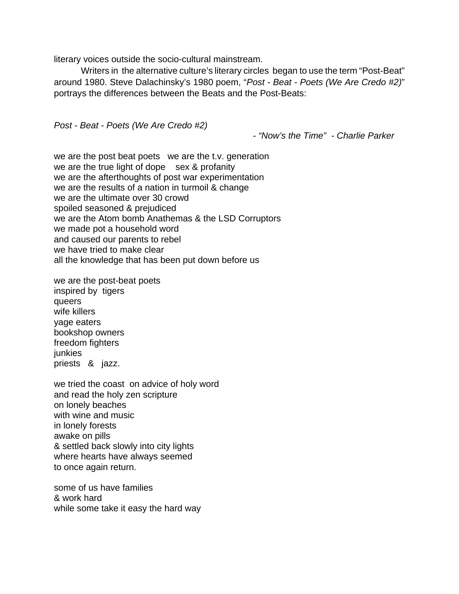literary voices outside the socio-cultural mainstream.

Writers in the alternative culture's literary circles began to use the term "Post-Beat" around 1980. Steve Dalachinsky's 1980 poem, "*Post - Beat - Poets (We Are Credo #2)*" portrays the differences between the Beats and the Post-Beats:

*Post - Beat - Poets (We Are Credo #2)*

*- "Now's the Time" - Charlie Parker*

we are the post beat poets we are the t.v. generation we are the true light of dope sex & profanity we are the afterthoughts of post war experimentation we are the results of a nation in turmoil & change we are the ultimate over 30 crowd spoiled seasoned & prejudiced we are the Atom bomb Anathemas & the LSD Corruptors we made pot a household word and caused our parents to rebel we have tried to make clear all the knowledge that has been put down before us

we are the post-beat poets inspired by tigers queers wife killers yage eaters bookshop owners freedom fighters junkies priests & jazz.

we tried the coast on advice of holy word and read the holy zen scripture on lonely beaches with wine and music in lonely forests awake on pills & settled back slowly into city lights where hearts have always seemed to once again return.

some of us have families & work hard while some take it easy the hard way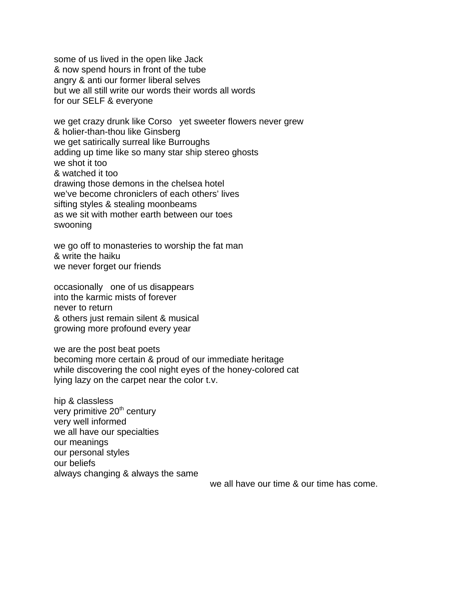some of us lived in the open like Jack & now spend hours in front of the tube angry & anti our former liberal selves but we all still write our words their words all words for our SELF & everyone

we get crazy drunk like Corso yet sweeter flowers never grew & holier-than-thou like Ginsberg we get satirically surreal like Burroughs adding up time like so many star ship stereo ghosts we shot it too & watched it too drawing those demons in the chelsea hotel we've become chroniclers of each others' lives sifting styles & stealing moonbeams as we sit with mother earth between our toes swooning

we go off to monasteries to worship the fat man & write the haiku we never forget our friends

occasionally one of us disappears into the karmic mists of forever never to return & others just remain silent & musical growing more profound every year

we are the post beat poets becoming more certain & proud of our immediate heritage while discovering the cool night eyes of the honey-colored cat lying lazy on the carpet near the color t.v.

hip & classless very primitive 20<sup>th</sup> century very well informed we all have our specialties our meanings our personal styles our beliefs always changing & always the same

we all have our time & our time has come.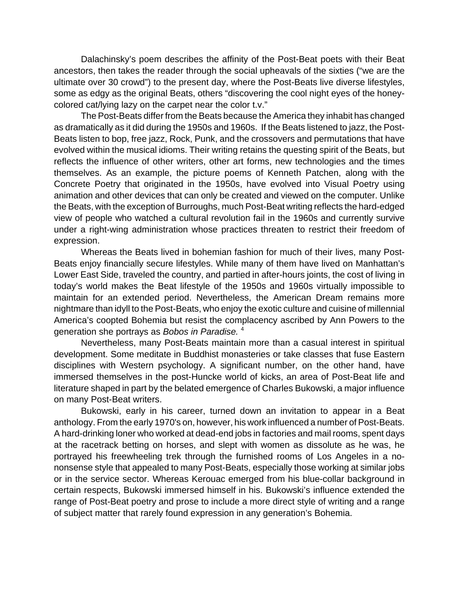Dalachinsky's poem describes the affinity of the Post-Beat poets with their Beat ancestors, then takes the reader through the social upheavals of the sixties ("we are the ultimate over 30 crowd") to the present day, where the Post-Beats live diverse lifestyles, some as edgy as the original Beats, others "discovering the cool night eyes of the honeycolored cat/lying lazy on the carpet near the color t.v."

The Post-Beats differ from the Beats because the America they inhabit has changed as dramatically as it did during the 1950s and 1960s. If the Beats listened to jazz, the Post-Beats listen to bop, free jazz, Rock, Punk, and the crossovers and permutations that have evolved within the musical idioms. Their writing retains the questing spirit of the Beats, but reflects the influence of other writers, other art forms, new technologies and the times themselves. As an example, the picture poems of Kenneth Patchen, along with the Concrete Poetry that originated in the 1950s, have evolved into Visual Poetry using animation and other devices that can only be created and viewed on the computer. Unlike the Beats, with the exception of Burroughs, much Post-Beat writing reflects the hard-edged view of people who watched a cultural revolution fail in the 1960s and currently survive under a right-wing administration whose practices threaten to restrict their freedom of expression.

Whereas the Beats lived in bohemian fashion for much of their lives, many Post-Beats enjoy financially secure lifestyles. While many of them have lived on Manhattan's Lower East Side, traveled the country, and partied in after-hours joints, the cost of living in today's world makes the Beat lifestyle of the 1950s and 1960s virtually impossible to maintain for an extended period. Nevertheless, the American Dream remains more nightmare than idyll to the Post-Beats, who enjoy the exotic culture and cuisine of millennial America's coopted Bohemia but resist the complacency ascribed by Ann Powers to the generation she portrays as *Bobos in Paradise.* <sup>4</sup>

Nevertheless, many Post-Beats maintain more than a casual interest in spiritual development. Some meditate in Buddhist monasteries or take classes that fuse Eastern disciplines with Western psychology. A significant number, on the other hand, have immersed themselves in the post-Huncke world of kicks, an area of Post-Beat life and literature shaped in part by the belated emergence of Charles Bukowski, a major influence on many Post-Beat writers.

Bukowski, early in his career, turned down an invitation to appear in a Beat anthology. From the early 1970's on, however, his work influenced a number of Post-Beats. A hard-drinking loner who worked at dead-end jobs in factories and mail rooms, spent days at the racetrack betting on horses, and slept with women as dissolute as he was, he portrayed his freewheeling trek through the furnished rooms of Los Angeles in a nononsense style that appealed to many Post-Beats, especially those working at similar jobs or in the service sector. Whereas Kerouac emerged from his blue-collar background in certain respects, Bukowski immersed himself in his. Bukowski's influence extended the range of Post-Beat poetry and prose to include a more direct style of writing and a range of subject matter that rarely found expression in any generation's Bohemia.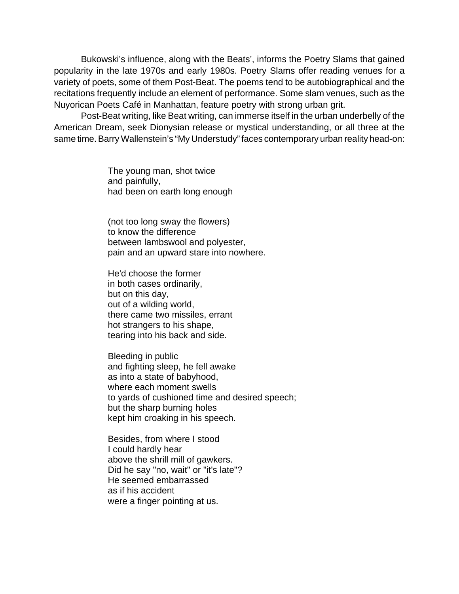Bukowski's influence, along with the Beats', informs the Poetry Slams that gained popularity in the late 1970s and early 1980s. Poetry Slams offer reading venues for a variety of poets, some of them Post-Beat. The poems tend to be autobiographical and the recitations frequently include an element of performance. Some slam venues, such as the Nuyorican Poets Café in Manhattan, feature poetry with strong urban grit.

Post-Beat writing, like Beat writing, can immerse itself in the urban underbelly of the American Dream, seek Dionysian release or mystical understanding, or all three at the same time. Barry Wallenstein's "My Understudy" faces contemporary urban reality head-on:

> The young man, shot twice and painfully, had been on earth long enough

(not too long sway the flowers) to know the difference between lambswool and polyester, pain and an upward stare into nowhere.

He'd choose the former in both cases ordinarily, but on this day, out of a wilding world, there came two missiles, errant hot strangers to his shape, tearing into his back and side.

Bleeding in public and fighting sleep, he fell awake as into a state of babyhood, where each moment swells to yards of cushioned time and desired speech; but the sharp burning holes kept him croaking in his speech.

Besides, from where I stood I could hardly hear above the shrill mill of gawkers. Did he say "no, wait" or "it's late"? He seemed embarrassed as if his accident were a finger pointing at us.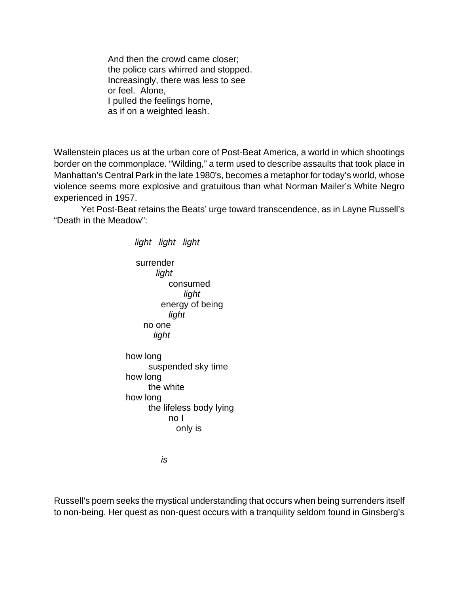And then the crowd came closer; the police cars whirred and stopped. Increasingly, there was less to see or feel. Alone, I pulled the feelings home, as if on a weighted leash.

Wallenstein places us at the urban core of Post-Beat America, a world in which shootings border on the commonplace. "Wilding," a term used to describe assaults that took place in Manhattan's Central Park in the late 1980's, becomes a metaphor for today's world, whose violence seems more explosive and gratuitous than what Norman Mailer's White Negro experienced in 1957.

Yet Post-Beat retains the Beats' urge toward transcendence, as in Layne Russell's "Death in the Meadow":

> *light light light* surrender *light* consumed *light* energy of being *light* no one *light* how long suspended sky time how long the white how long the lifeless body lying no I only is

> > *is*

Russell's poem seeks the mystical understanding that occurs when being surrenders itself to non-being. Her quest as non-quest occurs with a tranquility seldom found in Ginsberg's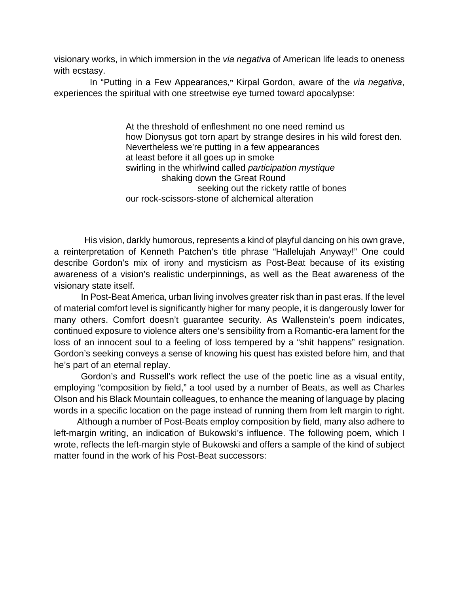visionary works, in which immersion in the *via negativa* of American life leads to oneness with ecstasy.

In "Putting in a Few Appearances**,"** Kirpal Gordon, aware of the *via negativa*, experiences the spiritual with one streetwise eye turned toward apocalypse:

> At the threshold of enfleshment no one need remind us how Dionysus got torn apart by strange desires in his wild forest den. Nevertheless we're putting in a few appearances at least before it all goes up in smoke swirling in the whirlwind called *participation mystique* shaking down the Great Round seeking out the rickety rattle of bones our rock-scissors-stone of alchemical alteration

His vision, darkly humorous, represents a kind of playful dancing on his own grave, a reinterpretation of Kenneth Patchen's title phrase "Hallelujah Anyway!" One could describe Gordon's mix of irony and mysticism as Post-Beat because of its existing awareness of a vision's realistic underpinnings, as well as the Beat awareness of the visionary state itself.

In Post-Beat America, urban living involves greater risk than in past eras. If the level of material comfort level is significantly higher for many people, it is dangerously lower for many others. Comfort doesn't guarantee security. As Wallenstein's poem indicates, continued exposure to violence alters one's sensibility from a Romantic-era lament for the loss of an innocent soul to a feeling of loss tempered by a "shit happens" resignation. Gordon's seeking conveys a sense of knowing his quest has existed before him, and that he's part of an eternal replay.

Gordon's and Russell's work reflect the use of the poetic line as a visual entity, employing "composition by field," a tool used by a number of Beats, as well as Charles Olson and his Black Mountain colleagues, to enhance the meaning of language by placing words in a specific location on the page instead of running them from left margin to right.

 Although a number of Post-Beats employ composition by field, many also adhere to left-margin writing, an indication of Bukowski's influence. The following poem, which I wrote, reflects the left-margin style of Bukowski and offers a sample of the kind of subject matter found in the work of his Post-Beat successors: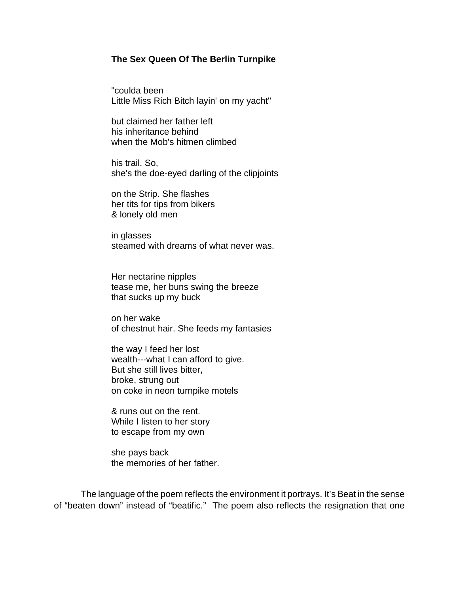#### **The Sex Queen Of The Berlin Turnpike**

"coulda been Little Miss Rich Bitch layin' on my yacht"

but claimed her father left his inheritance behind when the Mob's hitmen climbed

his trail. So, she's the doe-eyed darling of the clipjoints

on the Strip. She flashes her tits for tips from bikers & lonely old men

in glasses steamed with dreams of what never was.

Her nectarine nipples tease me, her buns swing the breeze that sucks up my buck

on her wake of chestnut hair. She feeds my fantasies

the way I feed her lost wealth---what I can afford to give. But she still lives bitter, broke, strung out on coke in neon turnpike motels

& runs out on the rent. While I listen to her story to escape from my own

she pays back the memories of her father.

The language of the poem reflects the environment it portrays. It's Beat in the sense of "beaten down" instead of "beatific." The poem also reflects the resignation that one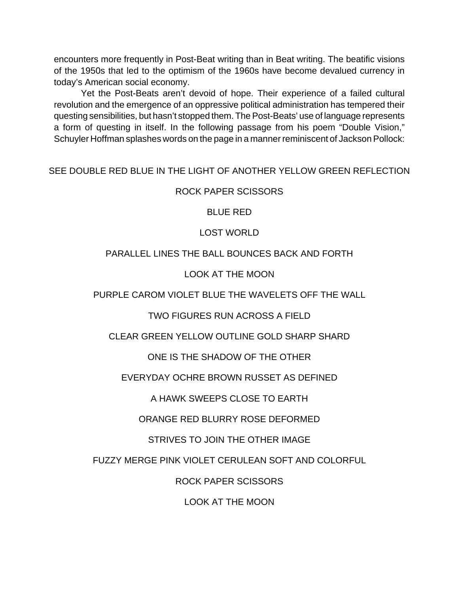encounters more frequently in Post-Beat writing than in Beat writing. The beatific visions of the 1950s that led to the optimism of the 1960s have become devalued currency in today's American social economy.

Yet the Post-Beats aren't devoid of hope. Their experience of a failed cultural revolution and the emergence of an oppressive political administration has tempered their questing sensibilities, but hasn't stopped them. The Post-Beats' use of language represents a form of questing in itself. In the following passage from his poem "Double Vision," Schuyler Hoffman splashes words on the page in a manner reminiscent of Jackson Pollock:

### SEE DOUBLE RED BLUE IN THE LIGHT OF ANOTHER YELLOW GREEN REFLECTION

### ROCK PAPER SCISSORS

BLUE RED

### LOST WORLD

### PARALLEL LINES THE BALL BOUNCES BACK AND FORTH

### LOOK AT THE MOON

### PURPLE CAROM VIOLET BLUE THE WAVELETS OFF THE WALL

# TWO FIGURES RUN ACROSS A FIELD

# CLEAR GREEN YELLOW OUTLINE GOLD SHARP SHARD

# ONE IS THE SHADOW OF THE OTHER

# EVERYDAY OCHRE BROWN RUSSET AS DEFINED

# A HAWK SWEEPS CLOSE TO EARTH

# ORANGE RED BLURRY ROSE DEFORMED

# STRIVES TO JOIN THE OTHER IMAGE

# FUZZY MERGE PINK VIOLET CERULEAN SOFT AND COLORFUL

# ROCK PAPER SCISSORS

### LOOK AT THE MOON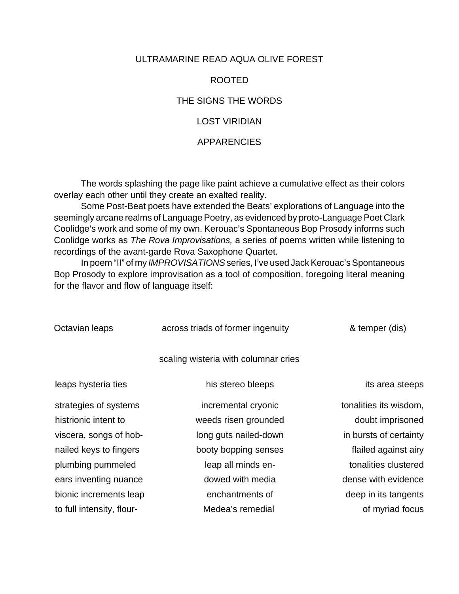### ULTRAMARINE READ AQUA OLIVE FOREST

#### ROOTED

### THE SIGNS THE WORDS

### LOST VIRIDIAN

#### APPARENCIES

The words splashing the page like paint achieve a cumulative effect as their colors overlay each other until they create an exalted reality.

Some Post-Beat poets have extended the Beats' explorations of Language into the seemingly arcane realms of Language Poetry, as evidenced by proto-Language Poet Clark Coolidge's work and some of my own. Kerouac's Spontaneous Bop Prosody informs such Coolidge works as *The Rova Improvisations,* a series of poems written while listening to recordings of the avant-garde Rova Saxophone Quartet.

In poem "II" of my *IMPROVISATIONS* series, I've used Jack Kerouac's Spontaneous Bop Prosody to explore improvisation as a tool of composition, foregoing literal meaning for the flavor and flow of language itself:

| scaling wisteria with columnar cries<br>leaps hysteria ties<br>his stereo bleeps<br>strategies of systems<br>incremental cryonic<br>histrionic intent to<br>weeds risen grounded<br>viscera, songs of hob-<br>long guts nailed-down<br>nailed keys to fingers<br>booty bopping senses<br>plumbing pummeled<br>leap all minds en-<br>dowed with media<br>ears inventing nuance<br>bionic increments leap<br>enchantments of<br>to full intensity, flour-<br>Medea's remedial | Octavian leaps | across triads of former ingenuity | & temper (dis)         |
|-----------------------------------------------------------------------------------------------------------------------------------------------------------------------------------------------------------------------------------------------------------------------------------------------------------------------------------------------------------------------------------------------------------------------------------------------------------------------------|----------------|-----------------------------------|------------------------|
|                                                                                                                                                                                                                                                                                                                                                                                                                                                                             |                |                                   |                        |
|                                                                                                                                                                                                                                                                                                                                                                                                                                                                             |                |                                   | its area steeps        |
|                                                                                                                                                                                                                                                                                                                                                                                                                                                                             |                |                                   | tonalities its wisdom, |
|                                                                                                                                                                                                                                                                                                                                                                                                                                                                             |                |                                   | doubt imprisoned       |
|                                                                                                                                                                                                                                                                                                                                                                                                                                                                             |                |                                   | in bursts of certainty |
|                                                                                                                                                                                                                                                                                                                                                                                                                                                                             |                |                                   | flailed against airy   |
|                                                                                                                                                                                                                                                                                                                                                                                                                                                                             |                |                                   | tonalities clustered   |
|                                                                                                                                                                                                                                                                                                                                                                                                                                                                             |                |                                   | dense with evidence    |
|                                                                                                                                                                                                                                                                                                                                                                                                                                                                             |                |                                   | deep in its tangents   |
|                                                                                                                                                                                                                                                                                                                                                                                                                                                                             |                |                                   | of myriad focus        |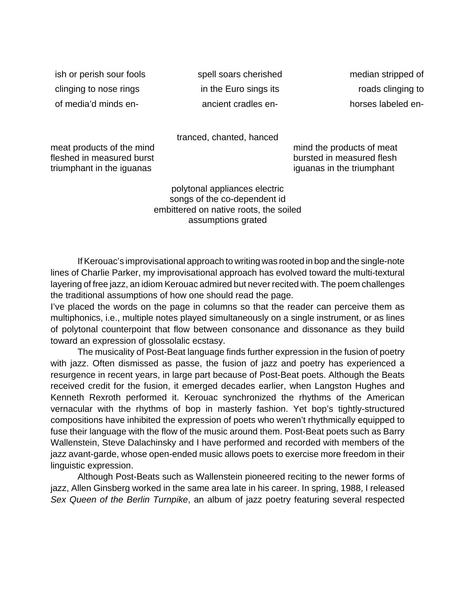clinging to nose rings in the Euro sings its roads clinging to roads clinging to of media'd minds en- ancient cradles en- horses labeled en-

ish or perish sour fools spell soars cherished median stripped of

tranced, chanted, hanced

fleshed in measured burst burst bursted in measured flesh triumphant in the iguanas iguanas in the triumphant

meat products of the mind mind mind the products of meat

polytonal appliances electric songs of the co-dependent id embittered on native roots, the soiled assumptions grated

If Kerouac's improvisational approach to writing was rooted in bop and the single-note lines of Charlie Parker, my improvisational approach has evolved toward the multi-textural layering of free jazz, an idiom Kerouac admired but never recited with. The poem challenges the traditional assumptions of how one should read the page.

I've placed the words on the page in columns so that the reader can perceive them as multiphonics, i.e., multiple notes played simultaneously on a single instrument, or as lines of polytonal counterpoint that flow between consonance and dissonance as they build toward an expression of glossolalic ecstasy.

The musicality of Post-Beat language finds further expression in the fusion of poetry with jazz. Often dismissed as passe, the fusion of jazz and poetry has experienced a resurgence in recent years, in large part because of Post-Beat poets. Although the Beats received credit for the fusion, it emerged decades earlier, when Langston Hughes and Kenneth Rexroth performed it. Kerouac synchronized the rhythms of the American vernacular with the rhythms of bop in masterly fashion. Yet bop's tightly-structured compositions have inhibited the expression of poets who weren't rhythmically equipped to fuse their language with the flow of the music around them. Post-Beat poets such as Barry Wallenstein, Steve Dalachinsky and I have performed and recorded with members of the jazz avant-garde, whose open-ended music allows poets to exercise more freedom in their linguistic expression.

Although Post-Beats such as Wallenstein pioneered reciting to the newer forms of jazz, Allen Ginsberg worked in the same area late in his career. In spring, 1988, I released *Sex Queen of the Berlin Turnpike*, an album of jazz poetry featuring several respected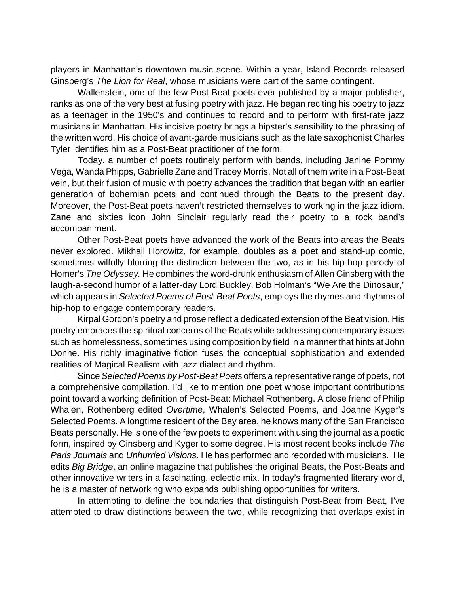players in Manhattan's downtown music scene. Within a year, Island Records released Ginsberg's *The Lion for Real*, whose musicians were part of the same contingent.

Wallenstein, one of the few Post-Beat poets ever published by a major publisher, ranks as one of the very best at fusing poetry with jazz. He began reciting his poetry to jazz as a teenager in the 1950's and continues to record and to perform with first-rate jazz musicians in Manhattan. His incisive poetry brings a hipster's sensibility to the phrasing of the written word. His choice of avant-garde musicians such as the late saxophonist Charles Tyler identifies him as a Post-Beat practitioner of the form.

Today, a number of poets routinely perform with bands, including Janine Pommy Vega, Wanda Phipps, Gabrielle Zane and Tracey Morris. Not all of them write in a Post-Beat vein, but their fusion of music with poetry advances the tradition that began with an earlier generation of bohemian poets and continued through the Beats to the present day. Moreover, the Post-Beat poets haven't restricted themselves to working in the jazz idiom. Zane and sixties icon John Sinclair regularly read their poetry to a rock band's accompaniment.

Other Post-Beat poets have advanced the work of the Beats into areas the Beats never explored. Mikhail Horowitz, for example, doubles as a poet and stand-up comic, sometimes wilfully blurring the distinction between the two, as in his hip-hop parody of Homer's *The Odyssey.* He combines the word-drunk enthusiasm of Allen Ginsberg with the laugh-a-second humor of a latter-day Lord Buckley. Bob Holman's "We Are the Dinosaur," which appears in *Selected Poems of Post-Beat Poets*, employs the rhymes and rhythms of hip-hop to engage contemporary readers.

Kirpal Gordon's poetry and prose reflect a dedicated extension of the Beat vision. His poetry embraces the spiritual concerns of the Beats while addressing contemporary issues such as homelessness, sometimes using composition by field in a manner that hints at John Donne. His richly imaginative fiction fuses the conceptual sophistication and extended realities of Magical Realism with jazz dialect and rhythm.

Since *Selected Poems by Post-Beat Poets* offers a representative range of poets, not a comprehensive compilation, I'd like to mention one poet whose important contributions point toward a working definition of Post-Beat: Michael Rothenberg. A close friend of Philip Whalen, Rothenberg edited *Overtime*, Whalen's Selected Poems, and Joanne Kyger's Selected Poems. A longtime resident of the Bay area, he knows many of the San Francisco Beats personally. He is one of the few poets to experiment with using the journal as a poetic form, inspired by Ginsberg and Kyger to some degree. His most recent books include *The Paris Journals* and *Unhurried Visions*. He has performed and recorded with musicians. He edits *Big Bridge*, an online magazine that publishes the original Beats, the Post-Beats and other innovative writers in a fascinating, eclectic mix. In today's fragmented literary world, he is a master of networking who expands publishing opportunities for writers.

In attempting to define the boundaries that distinguish Post-Beat from Beat, I've attempted to draw distinctions between the two, while recognizing that overlaps exist in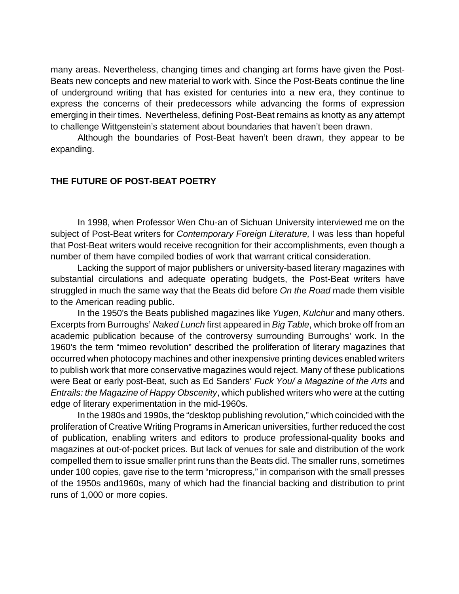many areas. Nevertheless, changing times and changing art forms have given the Post-Beats new concepts and new material to work with. Since the Post-Beats continue the line of underground writing that has existed for centuries into a new era, they continue to express the concerns of their predecessors while advancing the forms of expression emerging in their times. Nevertheless, defining Post-Beat remains as knotty as any attempt to challenge Wittgenstein's statement about boundaries that haven't been drawn.

Although the boundaries of Post-Beat haven't been drawn, they appear to be expanding.

#### **THE FUTURE OF POST-BEAT POETRY**

In 1998, when Professor Wen Chu-an of Sichuan University interviewed me on the subject of Post-Beat writers for *Contemporary Foreign Literature,* I was less than hopeful that Post-Beat writers would receive recognition for their accomplishments, even though a number of them have compiled bodies of work that warrant critical consideration.

Lacking the support of major publishers or university-based literary magazines with substantial circulations and adequate operating budgets, the Post-Beat writers have struggled in much the same way that the Beats did before *On the Road* made them visible to the American reading public.

In the 1950's the Beats published magazines like *Yugen, Kulchur* and many others. Excerpts from Burroughs' *Naked Lunch* first appeared in *Big Table*, which broke off from an academic publication because of the controversy surrounding Burroughs' work. In the 1960's the term "mimeo revolution" described the proliferation of literary magazines that occurred when photocopy machines and other inexpensive printing devices enabled writers to publish work that more conservative magazines would reject. Many of these publications were Beat or early post-Beat, such as Ed Sanders' *Fuck You/ a Magazine of the Arts* and *Entrails: the Magazine of Happy Obscenity*, which published writers who were at the cutting edge of literary experimentation in the mid-1960s.

In the 1980s and 1990s, the "desktop publishing revolution," which coincided with the proliferation of Creative Writing Programs in American universities, further reduced the cost of publication, enabling writers and editors to produce professional-quality books and magazines at out-of-pocket prices. But lack of venues for sale and distribution of the work compelled them to issue smaller print runs than the Beats did. The smaller runs, sometimes under 100 copies, gave rise to the term "micropress," in comparison with the small presses of the 1950s and1960s, many of which had the financial backing and distribution to print runs of 1,000 or more copies.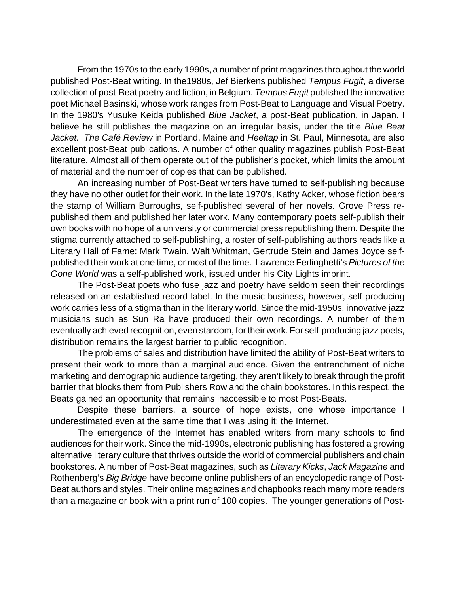From the 1970s to the early 1990s, a number of print magazines throughout the world published Post-Beat writing. In the1980s, Jef Bierkens published *Tempus Fugit*, a diverse collection of post-Beat poetry and fiction, in Belgium. *Tempus Fugit* published the innovative poet Michael Basinski, whose work ranges from Post-Beat to Language and Visual Poetry. In the 1980's Yusuke Keida published *Blue Jacket*, a post-Beat publication, in Japan. I believe he still publishes the magazine on an irregular basis, under the title *Blue Beat Jacket. The Café Review* in Portland, Maine and *Heeltap* in St. Paul, Minnesota, are also excellent post-Beat publications. A number of other quality magazines publish Post-Beat literature. Almost all of them operate out of the publisher's pocket, which limits the amount of material and the number of copies that can be published.

An increasing number of Post-Beat writers have turned to self-publishing because they have no other outlet for their work. In the late 1970's, Kathy Acker, whose fiction bears the stamp of William Burroughs, self-published several of her novels. Grove Press republished them and published her later work. Many contemporary poets self-publish their own books with no hope of a university or commercial press republishing them. Despite the stigma currently attached to self-publishing, a roster of self-publishing authors reads like a Literary Hall of Fame: Mark Twain, Walt Whitman, Gertrude Stein and James Joyce selfpublished their work at one time, or most of the time. Lawrence Ferlinghetti's *Pictures of the Gone World* was a self-published work, issued under his City Lights imprint.

The Post-Beat poets who fuse jazz and poetry have seldom seen their recordings released on an established record label. In the music business, however, self-producing work carries less of a stigma than in the literary world. Since the mid-1950s, innovative jazz musicians such as Sun Ra have produced their own recordings. A number of them eventually achieved recognition, even stardom, for their work. For self-producing jazz poets, distribution remains the largest barrier to public recognition.

The problems of sales and distribution have limited the ability of Post-Beat writers to present their work to more than a marginal audience. Given the entrenchment of niche marketing and demographic audience targeting, they aren't likely to break through the profit barrier that blocks them from Publishers Row and the chain bookstores. In this respect, the Beats gained an opportunity that remains inaccessible to most Post-Beats.

Despite these barriers, a source of hope exists, one whose importance I underestimated even at the same time that I was using it: the Internet.

The emergence of the Internet has enabled writers from many schools to find audiences for their work. Since the mid-1990s, electronic publishing has fostered a growing alternative literary culture that thrives outside the world of commercial publishers and chain bookstores. A number of Post-Beat magazines, such as *Literary Kicks*, *Jack Magazine* and Rothenberg's *Big Bridge* have become online publishers of an encyclopedic range of Post-Beat authors and styles. Their online magazines and chapbooks reach many more readers than a magazine or book with a print run of 100 copies. The younger generations of Post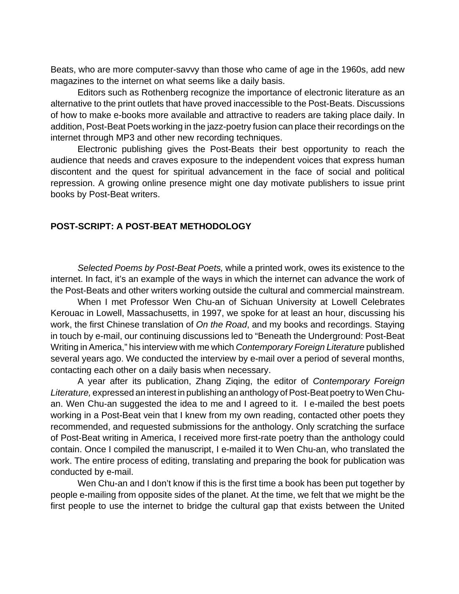Beats, who are more computer-savvy than those who came of age in the 1960s, add new magazines to the internet on what seems like a daily basis.

Editors such as Rothenberg recognize the importance of electronic literature as an alternative to the print outlets that have proved inaccessible to the Post-Beats. Discussions of how to make e-books more available and attractive to readers are taking place daily. In addition, Post-Beat Poets working in the jazz-poetry fusion can place their recordings on the internet through MP3 and other new recording techniques.

Electronic publishing gives the Post-Beats their best opportunity to reach the audience that needs and craves exposure to the independent voices that express human discontent and the quest for spiritual advancement in the face of social and political repression. A growing online presence might one day motivate publishers to issue print books by Post-Beat writers.

#### **POST-SCRIPT: A POST-BEAT METHODOLOGY**

*Selected Poems by Post-Beat Poets,* while a printed work, owes its existence to the internet. In fact, it's an example of the ways in which the internet can advance the work of the Post-Beats and other writers working outside the cultural and commercial mainstream.

When I met Professor Wen Chu-an of Sichuan University at Lowell Celebrates Kerouac in Lowell, Massachusetts, in 1997, we spoke for at least an hour, discussing his work, the first Chinese translation of *On the Road*, and my books and recordings. Staying in touch by e-mail, our continuing discussions led to "Beneath the Underground: Post-Beat Writing in America," his interview with me which *Contemporary Foreign Literature* published several years ago. We conducted the interview by e-mail over a period of several months, contacting each other on a daily basis when necessary.

A year after its publication, Zhang Ziqing, the editor of *Contemporary Foreign Literature,* expressed an interest in publishing an anthology of Post-Beat poetry to Wen Chuan. Wen Chu-an suggested the idea to me and I agreed to it. I e-mailed the best poets working in a Post-Beat vein that I knew from my own reading, contacted other poets they recommended, and requested submissions for the anthology. Only scratching the surface of Post-Beat writing in America, I received more first-rate poetry than the anthology could contain. Once I compiled the manuscript, I e-mailed it to Wen Chu-an, who translated the work. The entire process of editing, translating and preparing the book for publication was conducted by e-mail.

Wen Chu-an and I don't know if this is the first time a book has been put together by people e-mailing from opposite sides of the planet. At the time, we felt that we might be the first people to use the internet to bridge the cultural gap that exists between the United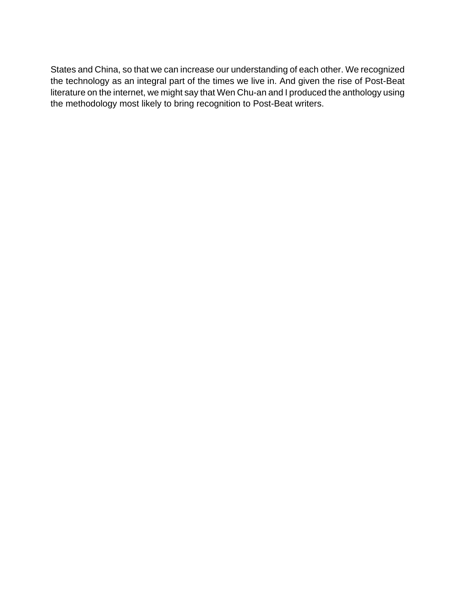States and China, so that we can increase our understanding of each other. We recognized the technology as an integral part of the times we live in. And given the rise of Post-Beat literature on the internet, we might say that Wen Chu-an and I produced the anthology using the methodology most likely to bring recognition to Post-Beat writers.